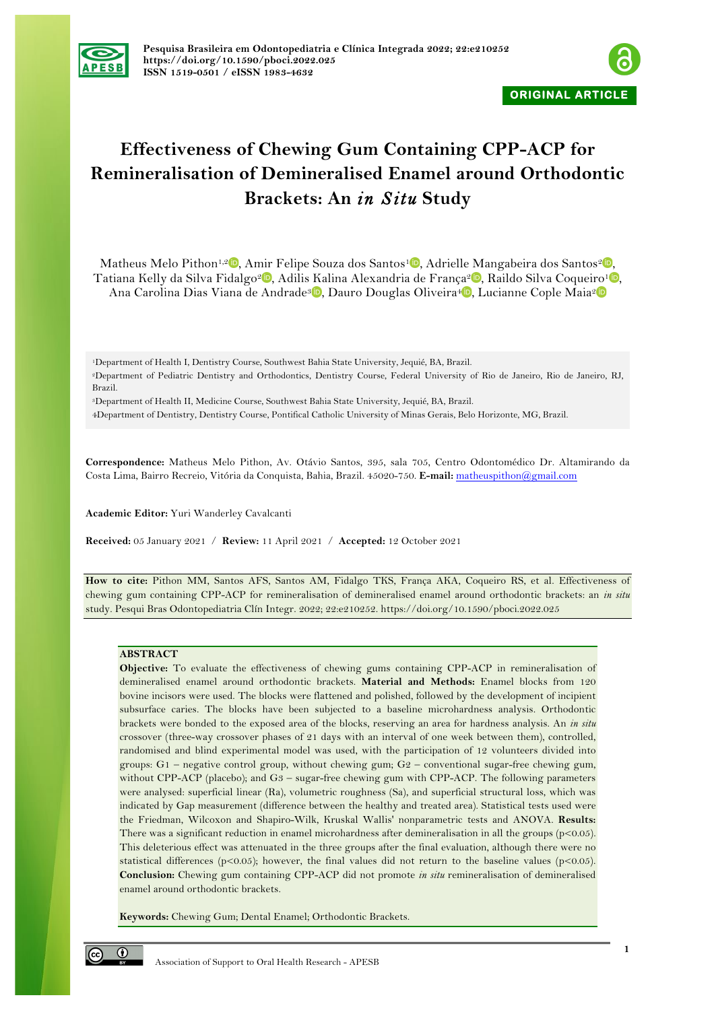



# **Effectiveness of Chewing Gum Containing CPP-ACP for Remineralisation of Demineralised Enamel around Orthodontic Brackets: An** *in Situ* **Study**

Matheus Melo Pithon<sup>1[,](https://orcid.org/0000-0002-8418-4139)2</sup> , Amir Felipe Souza dos Santos<sup>[1](https://orcid.org/0000-0001-9214-3161)</sup> , Adrielle Mangabeira dos Santos<sup>2</sup>. Tatiana Kelly da Silva Fidalgo<sup>2</sup> [,](https://orcid.org/0000-0003-2278-1234) Adilis Kalina Alexandria de França<sup>2</sup> , Raildo Silva Coqueiro<sup>1</sup> , Ana Carolina Dias Viana de Andrade<sup>3</sup><sup>®</sup>, Dauro Douglas Oliveira<sup>4</sup><sup>®</sup>, Lucianne Cople Maia<sup>2</sup>

1Department of Health I, Dentistry Course, Southwest Bahia State University, Jequié, BA, Brazil.

2Department of Pediatric Dentistry and Orthodontics, Dentistry Course, Federal University of Rio de Janeiro, Rio de Janeiro, RJ, Brazil.

3Department of Health II, Medicine Course, Southwest Bahia State University, Jequié, BA, Brazil.

4Department of Dentistry, Dentistry Course, Pontifical Catholic University of Minas Gerais, Belo Horizonte, MG, Brazil.

**Correspondence:** Matheus Melo Pithon, Av. Otávio Santos, 395, sala 705, Centro Odontomédico Dr. Altamirando da Costa Lima, Bairro Recreio, Vitória da Conquista, Bahia, Brazil. 45020-750. **E-mail:** matheuspithon@gmail.com

**Academic Editor:** Yuri Wanderley Cavalcanti

**Received:** 05 January 2021 / **Review:** 11 April 2021 / **Accepted:** 12 October 2021

**How to cite:** Pithon MM, Santos AFS, Santos AM, Fidalgo TKS, França AKA, Coqueiro RS, et al. Effectiveness of chewing gum containing CPP-ACP for remineralisation of demineralised enamel around orthodontic brackets: an *in situ* study. Pesqui Bras Odontopediatria Clín Integr. 2022; 22:e210252. https://doi.org/10.1590/pboci.2022.025

# **ABSTRACT**

**Objective:** To evaluate the effectiveness of chewing gums containing CPP-ACP in remineralisation of demineralised enamel around orthodontic brackets. **Material and Methods:** Enamel blocks from 120 bovine incisors were used. The blocks were flattened and polished, followed by the development of incipient subsurface caries. The blocks have been subjected to a baseline microhardness analysis. Orthodontic brackets were bonded to the exposed area of the blocks, reserving an area for hardness analysis. An *in situ* crossover (three-way crossover phases of 21 days with an interval of one week between them), controlled, randomised and blind experimental model was used, with the participation of 12 volunteers divided into groups: G1 – negative control group, without chewing gum; G2 – conventional sugar-free chewing gum, without CPP-ACP (placebo); and G3 – sugar-free chewing gum with CPP-ACP. The following parameters were analysed: superficial linear (Ra), volumetric roughness (Sa), and superficial structural loss, which was indicated by Gap measurement (difference between the healthy and treated area). Statistical tests used were the Friedman, Wilcoxon and Shapiro-Wilk, Kruskal Wallis' nonparametric tests and ANOVA. **Results:** There was a significant reduction in enamel microhardness after demineralisation in all the groups  $(p<0.05)$ . This deleterious effect was attenuated in the three groups after the final evaluation, although there were no statistical differences ( $p<0.05$ ); however, the final values did not return to the baseline values ( $p<0.05$ ). **Conclusion:** Chewing gum containing CPP-ACP did not promote *in situ* remineralisation of demineralised enamel around orthodontic brackets.

**Keywords:** Chewing Gum; Dental Enamel; Orthodontic Brackets.

 $\odot$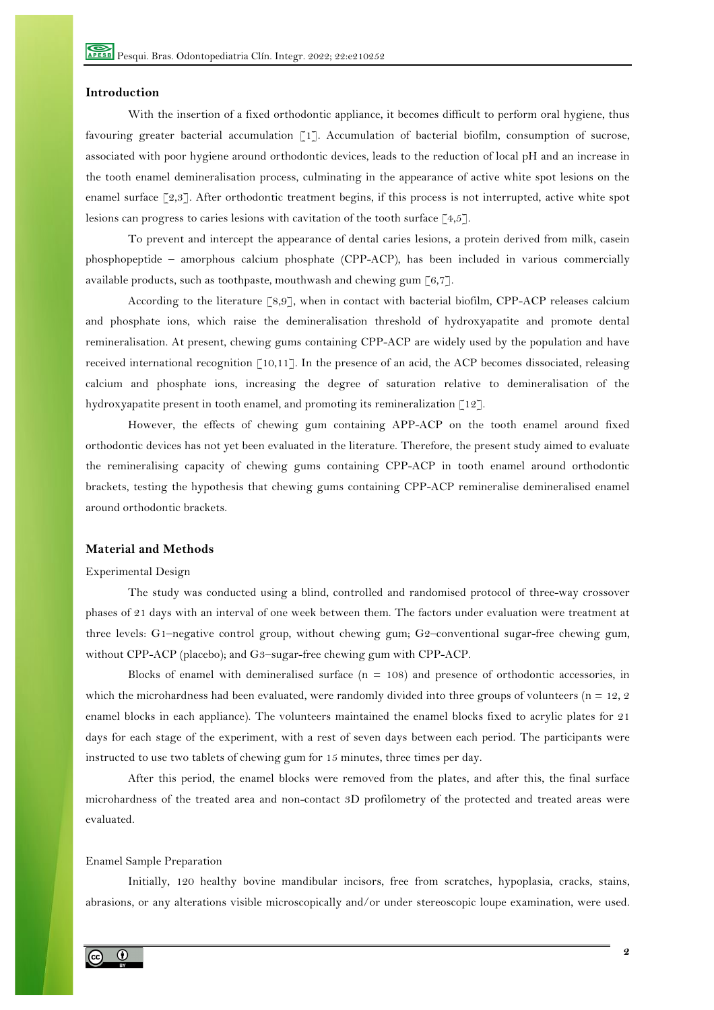# **Introduction**

With the insertion of a fixed orthodontic appliance, it becomes difficult to perform oral hygiene, thus favouring greater bacterial accumulation [1]. Accumulation of bacterial biofilm, consumption of sucrose, associated with poor hygiene around orthodontic devices, leads to the reduction of local pH and an increase in the tooth enamel demineralisation process, culminating in the appearance of active white spot lesions on the enamel surface [2,3]. After orthodontic treatment begins, if this process is not interrupted, active white spot lesions can progress to caries lesions with cavitation of the tooth surface [4,5].

To prevent and intercept the appearance of dental caries lesions, a protein derived from milk, casein phosphopeptide – amorphous calcium phosphate (CPP-ACP), has been included in various commercially available products, such as toothpaste, mouthwash and chewing gum [6,7].

According to the literature [8,9], when in contact with bacterial biofilm, CPP-ACP releases calcium and phosphate ions, which raise the demineralisation threshold of hydroxyapatite and promote dental remineralisation. At present, chewing gums containing CPP-ACP are widely used by the population and have received international recognition [10,11]. In the presence of an acid, the ACP becomes dissociated, releasing calcium and phosphate ions, increasing the degree of saturation relative to demineralisation of the hydroxyapatite present in tooth enamel, and promoting its remineralization [12].

However, the effects of chewing gum containing APP-ACP on the tooth enamel around fixed orthodontic devices has not yet been evaluated in the literature. Therefore, the present study aimed to evaluate the remineralising capacity of chewing gums containing CPP-ACP in tooth enamel around orthodontic brackets, testing the hypothesis that chewing gums containing CPP-ACP remineralise demineralised enamel around orthodontic brackets.

# **Material and Methods**

## Experimental Design

The study was conducted using a blind, controlled and randomised protocol of three-way crossover phases of 21 days with an interval of one week between them. The factors under evaluation were treatment at three levels: G1–negative control group, without chewing gum; G2–conventional sugar-free chewing gum, without CPP-ACP (placebo); and G3–sugar-free chewing gum with CPP-ACP.

Blocks of enamel with demineralised surface  $(n = 108)$  and presence of orthodontic accessories, in which the microhardness had been evaluated, were randomly divided into three groups of volunteers ( $n = 12, 2$ enamel blocks in each appliance). The volunteers maintained the enamel blocks fixed to acrylic plates for 21 days for each stage of the experiment, with a rest of seven days between each period. The participants were instructed to use two tablets of chewing gum for 15 minutes, three times per day.

After this period, the enamel blocks were removed from the plates, and after this, the final surface microhardness of the treated area and non-contact 3D profilometry of the protected and treated areas were evaluated.

## Enamel Sample Preparation

Initially, 120 healthy bovine mandibular incisors, free from scratches, hypoplasia, cracks, stains, abrasions, or any alterations visible microscopically and/or under stereoscopic loupe examination, were used.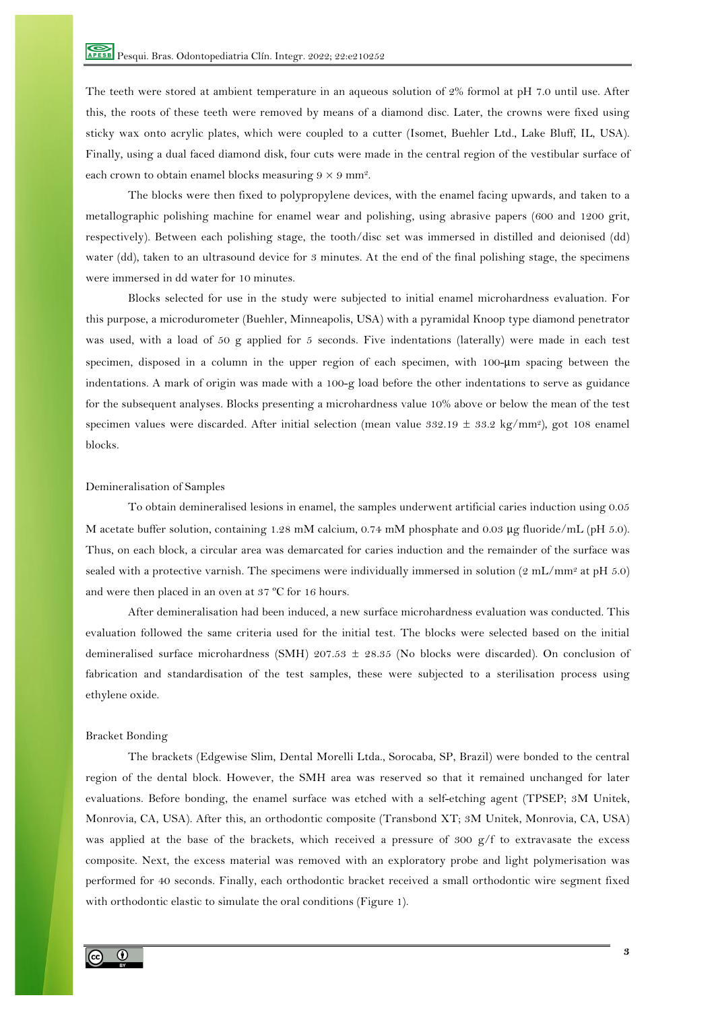The teeth were stored at ambient temperature in an aqueous solution of 2% formol at pH 7.0 until use. After this, the roots of these teeth were removed by means of a diamond disc. Later, the crowns were fixed using sticky wax onto acrylic plates, which were coupled to a cutter (Isomet, Buehler Ltd., Lake Bluff, IL, USA). Finally, using a dual faced diamond disk, four cuts were made in the central region of the vestibular surface of each crown to obtain enamel blocks measuring  $9 \times 9$  mm<sup>2</sup>.

The blocks were then fixed to polypropylene devices, with the enamel facing upwards, and taken to a metallographic polishing machine for enamel wear and polishing, using abrasive papers (600 and 1200 grit, respectively). Between each polishing stage, the tooth/disc set was immersed in distilled and deionised (dd) water (dd), taken to an ultrasound device for 3 minutes. At the end of the final polishing stage, the specimens were immersed in dd water for 10 minutes.

Blocks selected for use in the study were subjected to initial enamel microhardness evaluation. For this purpose, a microdurometer (Buehler, Minneapolis, USA) with a pyramidal Knoop type diamond penetrator was used, with a load of 50 g applied for 5 seconds. Five indentations (laterally) were made in each test specimen, disposed in a column in the upper region of each specimen, with 100-μm spacing between the indentations. A mark of origin was made with a 100-g load before the other indentations to serve as guidance for the subsequent analyses. Blocks presenting a microhardness value 10% above or below the mean of the test specimen values were discarded. After initial selection (mean value  $392.19 \pm 33.2$  kg/mm<sup>2</sup>), got 108 enamel blocks.

#### Demineralisation of Samples

To obtain demineralised lesions in enamel, the samples underwent artificial caries induction using 0.05 M acetate buffer solution, containing 1.28 mM calcium, 0.74 mM phosphate and 0.03 μg fluoride/mL (pH 5.0). Thus, on each block, a circular area was demarcated for caries induction and the remainder of the surface was sealed with a protective varnish. The specimens were individually immersed in solution ( $2 \text{ mL/mm}^2$  at pH 5.0) and were then placed in an oven at 37 ºC for 16 hours.

After demineralisation had been induced, a new surface microhardness evaluation was conducted. This evaluation followed the same criteria used for the initial test. The blocks were selected based on the initial demineralised surface microhardness (SMH) 207.53 ± 28.35 (No blocks were discarded). On conclusion of fabrication and standardisation of the test samples, these were subjected to a sterilisation process using ethylene oxide.

#### Bracket Bonding

The brackets (Edgewise Slim, Dental Morelli Ltda., Sorocaba, SP, Brazil) were bonded to the central region of the dental block. However, the SMH area was reserved so that it remained unchanged for later evaluations. Before bonding, the enamel surface was etched with a self-etching agent (TPSEP; 3M Unitek, Monrovia, CA, USA). After this, an orthodontic composite (Transbond XT; 3M Unitek, Monrovia, CA, USA) was applied at the base of the brackets, which received a pressure of 300 g/f to extravasate the excess composite. Next, the excess material was removed with an exploratory probe and light polymerisation was performed for 40 seconds. Finally, each orthodontic bracket received a small orthodontic wire segment fixed with orthodontic elastic to simulate the oral conditions (Figure 1).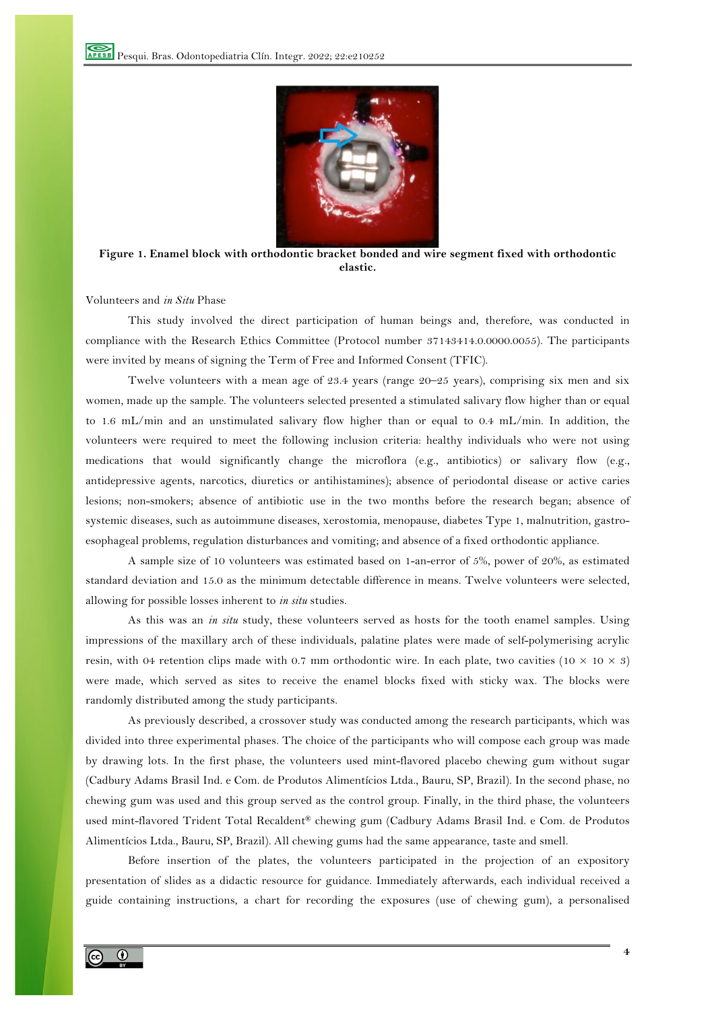

**Figure 1. Enamel block with orthodontic bracket bonded and wire segment fixed with orthodontic elastic.**

Volunteers and *in Situ* Phase

This study involved the direct participation of human beings and, therefore, was conducted in compliance with the Research Ethics Committee (Protocol number 37143414.0.0000.0055). The participants were invited by means of signing the Term of Free and Informed Consent (TFIC).

Twelve volunteers with a mean age of 23.4 years (range 20–25 years), comprising six men and six women, made up the sample. The volunteers selected presented a stimulated salivary flow higher than or equal to 1.6 mL/min and an unstimulated salivary flow higher than or equal to 0.4 mL/min. In addition, the volunteers were required to meet the following inclusion criteria: healthy individuals who were not using medications that would significantly change the microflora (e.g., antibiotics) or salivary flow (e.g., antidepressive agents, narcotics, diuretics or antihistamines); absence of periodontal disease or active caries lesions; non-smokers; absence of antibiotic use in the two months before the research began; absence of systemic diseases, such as autoimmune diseases, xerostomia, menopause, diabetes Type 1, malnutrition, gastroesophageal problems, regulation disturbances and vomiting; and absence of a fixed orthodontic appliance.

A sample size of 10 volunteers was estimated based on 1-an-error of 5%, power of 20%, as estimated standard deviation and 15.0 as the minimum detectable difference in means. Twelve volunteers were selected, allowing for possible losses inherent to *in situ* studies.

As this was an *in situ* study, these volunteers served as hosts for the tooth enamel samples. Using impressions of the maxillary arch of these individuals, palatine plates were made of self-polymerising acrylic resin, with 04 retention clips made with 0.7 mm orthodontic wire. In each plate, two cavities ( $10 \times 10 \times 3$ ) were made, which served as sites to receive the enamel blocks fixed with sticky wax. The blocks were randomly distributed among the study participants.

As previously described, a crossover study was conducted among the research participants, which was divided into three experimental phases. The choice of the participants who will compose each group was made by drawing lots. In the first phase, the volunteers used mint-flavored placebo chewing gum without sugar (Cadbury Adams Brasil Ind. e Com. de Produtos Alimentícios Ltda., Bauru, SP, Brazil). In the second phase, no chewing gum was used and this group served as the control group. Finally, in the third phase, the volunteers used mint-flavored Trident Total Recaldent® chewing gum (Cadbury Adams Brasil Ind. e Com. de Produtos Alimentícios Ltda., Bauru, SP, Brazil). All chewing gums had the same appearance, taste and smell.

Before insertion of the plates, the volunteers participated in the projection of an expository presentation of slides as a didactic resource for guidance. Immediately afterwards, each individual received a guide containing instructions, a chart for recording the exposures (use of chewing gum), a personalised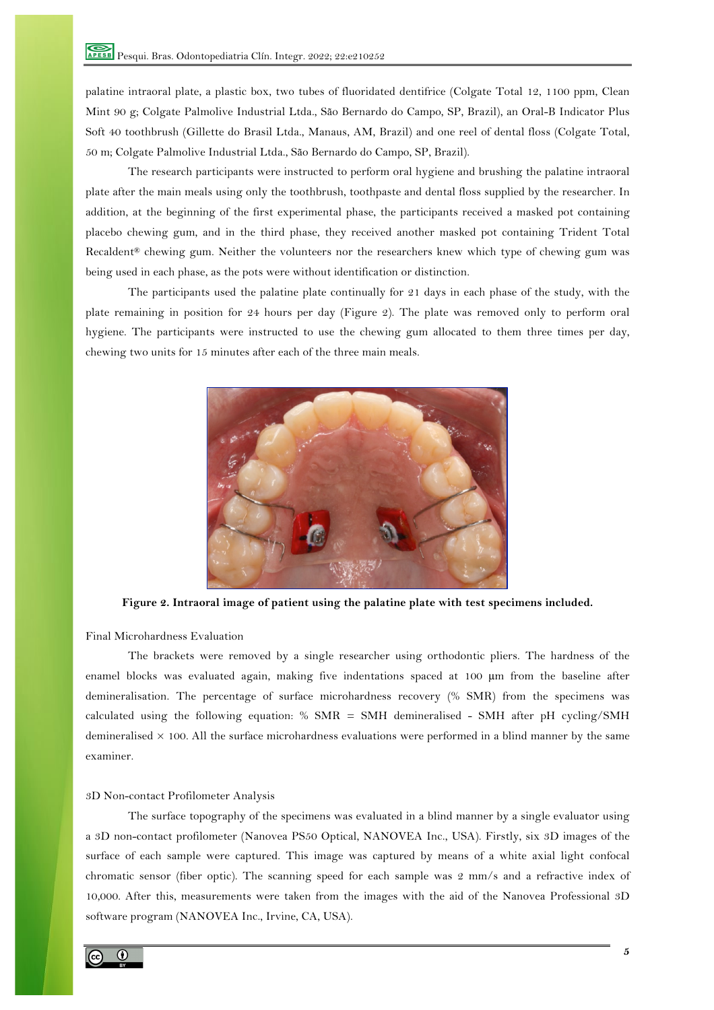palatine intraoral plate, a plastic box, two tubes of fluoridated dentifrice (Colgate Total 12, 1100 ppm, Clean Mint 90 g; Colgate Palmolive Industrial Ltda., São Bernardo do Campo, SP, Brazil), an Oral-B Indicator Plus Soft 40 toothbrush (Gillette do Brasil Ltda., Manaus, AM, Brazil) and one reel of dental floss (Colgate Total, 50 m; Colgate Palmolive Industrial Ltda., São Bernardo do Campo, SP, Brazil).

The research participants were instructed to perform oral hygiene and brushing the palatine intraoral plate after the main meals using only the toothbrush, toothpaste and dental floss supplied by the researcher. In addition, at the beginning of the first experimental phase, the participants received a masked pot containing placebo chewing gum, and in the third phase, they received another masked pot containing Trident Total Recaldent® chewing gum. Neither the volunteers nor the researchers knew which type of chewing gum was being used in each phase, as the pots were without identification or distinction.

The participants used the palatine plate continually for 21 days in each phase of the study, with the plate remaining in position for 24 hours per day (Figure 2). The plate was removed only to perform oral hygiene. The participants were instructed to use the chewing gum allocated to them three times per day, chewing two units for 15 minutes after each of the three main meals.



**Figure 2. Intraoral image of patient using the palatine plate with test specimens included.**

Final Microhardness Evaluation

The brackets were removed by a single researcher using orthodontic pliers. The hardness of the enamel blocks was evaluated again, making five indentations spaced at 100 µm from the baseline after demineralisation. The percentage of surface microhardness recovery (% SMR) from the specimens was calculated using the following equation: % SMR = SMH demineralised - SMH after pH cycling/SMH demineralised  $\times$  100. All the surface microhardness evaluations were performed in a blind manner by the same examiner.

## 3D Non-contact Profilometer Analysis

The surface topography of the specimens was evaluated in a blind manner by a single evaluator using a 3D non-contact profilometer (Nanovea PS50 Optical, NANOVEA Inc., USA). Firstly, six 3D images of the surface of each sample were captured. This image was captured by means of a white axial light confocal chromatic sensor (fiber optic). The scanning speed for each sample was 2 mm/s and a refractive index of 10,000. After this, measurements were taken from the images with the aid of the Nanovea Professional 3D software program (NANOVEA Inc., Irvine, CA, USA).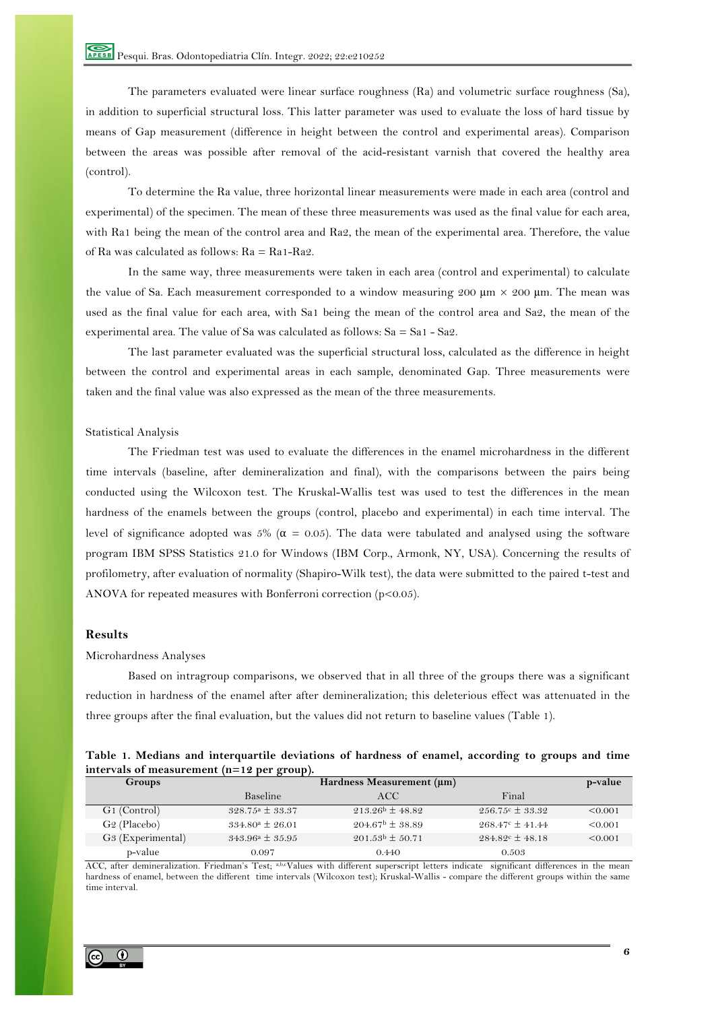The parameters evaluated were linear surface roughness (Ra) and volumetric surface roughness (Sa), in addition to superficial structural loss. This latter parameter was used to evaluate the loss of hard tissue by means of Gap measurement (difference in height between the control and experimental areas). Comparison between the areas was possible after removal of the acid-resistant varnish that covered the healthy area (control).

To determine the Ra value, three horizontal linear measurements were made in each area (control and experimental) of the specimen. The mean of these three measurements was used as the final value for each area, with Ra1 being the mean of the control area and Ra2, the mean of the experimental area. Therefore, the value of Ra was calculated as follows: Ra = Ra1-Ra2.

In the same way, three measurements were taken in each area (control and experimental) to calculate the value of Sa. Each measurement corresponded to a window measuring 200  $\mu$ m  $\times$  200  $\mu$ m. The mean was used as the final value for each area, with Sa1 being the mean of the control area and Sa2, the mean of the experimental area. The value of Sa was calculated as follows: Sa = Sa1 - Sa2.

The last parameter evaluated was the superficial structural loss, calculated as the difference in height between the control and experimental areas in each sample, denominated Gap. Three measurements were taken and the final value was also expressed as the mean of the three measurements.

## Statistical Analysis

The Friedman test was used to evaluate the differences in the enamel microhardness in the different time intervals (baseline, after demineralization and final), with the comparisons between the pairs being conducted using the Wilcoxon test. The Kruskal-Wallis test was used to test the differences in the mean hardness of the enamels between the groups (control, placebo and experimental) in each time interval. The level of significance adopted was 5% ( $\alpha$  = 0.05). The data were tabulated and analysed using the software program IBM SPSS Statistics 21.0 for Windows (IBM Corp., Armonk, NY, USA). Concerning the results of profilometry, after evaluation of normality (Shapiro-Wilk test), the data were submitted to the paired t-test and ANOVA for repeated measures with Bonferroni correction (p<0.05).

# **Results**

#### Microhardness Analyses

Based on intragroup comparisons, we observed that in all three of the groups there was a significant reduction in hardness of the enamel after after demineralization; this deleterious effect was attenuated in the three groups after the final evaluation, but the values did not return to baseline values (Table 1).

| Table 1. Medians and interquartile deviations of hardness of enamel, according to groups and time |  |  |  |  |
|---------------------------------------------------------------------------------------------------|--|--|--|--|
| intervals of measurement $(n=12$ per group).                                                      |  |  |  |  |

| <b>Groups</b>                 | Hardness Measurement (μm)          |                            |                            |         |
|-------------------------------|------------------------------------|----------------------------|----------------------------|---------|
|                               | Baseline                           | ACC.                       | Final                      |         |
| G1 (Control)                  | $328.75^{\circ} \pm 33.37$         | $213.26^{\rm b} \pm 48.82$ | $256.75c \pm 33.32$        | < 0.001 |
| G <sub>2</sub> (Placebo)      | $334.80^{\circ} \pm 26.01$         | $204.67^{\rm b} \pm 38.89$ | $268.47^{\circ} \pm 41.44$ | < 0.001 |
| G <sub>3</sub> (Experimental) | $343.96^{\circ} \pm 35.95^{\circ}$ | $201.53b \pm 50.71$        | $284.82^{\circ} \pm 48.18$ | < 0.001 |
| p-value                       | 0.097                              | 0.440                      | 0.503                      |         |

ACC, after demineralization. Friedman's Test; a,b,cValues with different superscript letters indicate significant differences in the mean hardness of enamel, between the different time intervals (Wilcoxon test); Kruskal-Wallis - compare the different groups within the same time interval.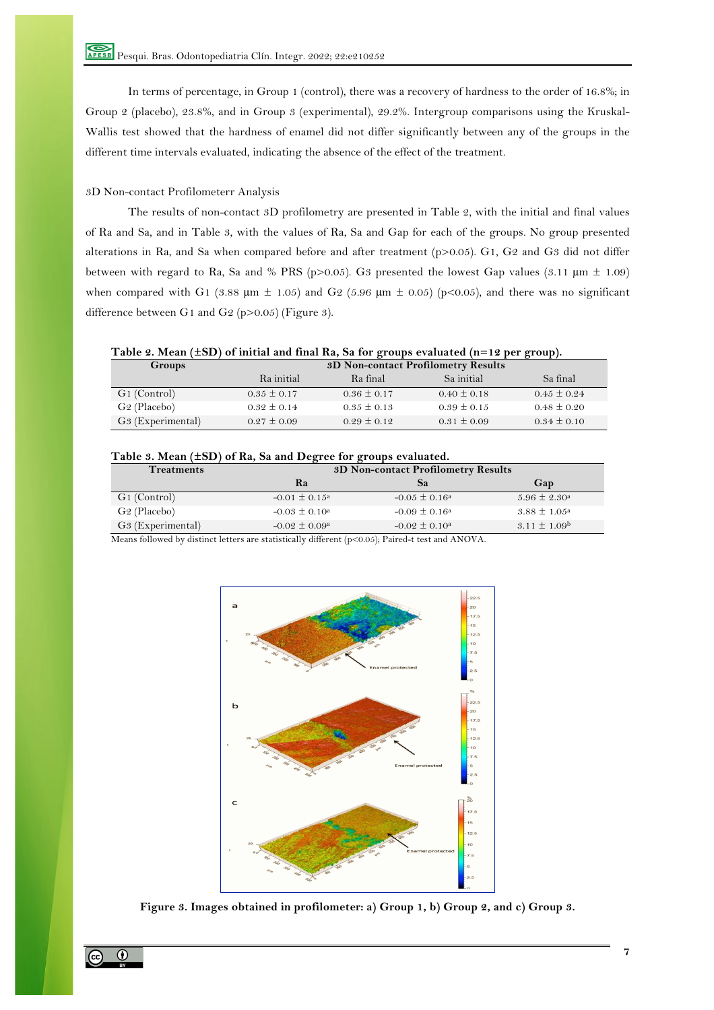In terms of percentage, in Group 1 (control), there was a recovery of hardness to the order of 16.8%; in Group 2 (placebo), 23.8%, and in Group 3 (experimental), 29.2%. Intergroup comparisons using the Kruskal-Wallis test showed that the hardness of enamel did not differ significantly between any of the groups in the different time intervals evaluated, indicating the absence of the effect of the treatment.

# 3D Non-contact Profilometerr Analysis

The results of non-contact 3D profilometry are presented in Table 2, with the initial and final values of Ra and Sa, and in Table 3, with the values of Ra, Sa and Gap for each of the groups. No group presented alterations in Ra, and Sa when compared before and after treatment (p>0.05). G1, G2 and G3 did not differ between with regard to Ra, Sa and % PRS (p>0.05). G3 presented the lowest Gap values (3.11  $\mu$ m ± 1.09) when compared with G1 (3.88  $\mu$ m  $\pm$  1.05) and G2 (5.96  $\mu$ m  $\pm$  0.05) (p<0.05), and there was no significant difference between G1 and G2 (p>0.05) (Figure 3).

**Table 2. Mean (±SD) of initial and final Ra, Sa for groups evaluated (n=12 per group).**

| <b>Groups</b>                 |                 | 3D Non-contact Profilometry Results |                 |                 |  |  |
|-------------------------------|-----------------|-------------------------------------|-----------------|-----------------|--|--|
|                               | Ra initial      | Ra final                            | Sa initial      | Sa final        |  |  |
| G1 (Control)                  | $0.35 \pm 0.17$ | $0.36 \pm 0.17$                     | $0.40 \pm 0.18$ | $0.45 \pm 0.24$ |  |  |
| G <sub>2</sub> (Placebo)      | $0.32 \pm 0.14$ | $0.35 \pm 0.13$                     | $0.39 \pm 0.15$ | $0.48 \pm 0.20$ |  |  |
| G <sub>3</sub> (Experimental) | $0.27 \pm 0.09$ | $0.29 \pm 0.12$                     | $0.31 \pm 0.09$ | $0.34 \pm 0.10$ |  |  |

## **Table 3. Mean (±SD) of Ra, Sa and Degree for groups evaluated.**

| <b>Treatments</b>             | 3D Non-contact Profilometry Results |                          |                         |
|-------------------------------|-------------------------------------|--------------------------|-------------------------|
|                               | Ra                                  | $\mathbf{a}$             | Gap                     |
| G <sub>1</sub> (Control)      | $-0.01 \pm 0.15^{\circ}$            | $-0.05 \pm 0.16^{\circ}$ | $5.96 \pm 2.30^{\circ}$ |
| G <sub>2</sub> (Placebo)      | $-0.03 \pm 0.10^{\circ}$            | $-0.09 \pm 0.16^{\circ}$ | $3.88 \pm 1.05^{\circ}$ |
| G <sub>3</sub> (Experimental) | $-0.02 \pm 0.09^{\circ}$            | $-0.02 \pm 0.10^{\circ}$ | $3.11 \pm 1.09^{\rm b}$ |

Means followed by distinct letters are statistically different (p<0.05); Paired-t test and ANOVA.



**Figure 3. Images obtained in profilometer: a) Group 1, b) Group 2, and c) Group 3.**

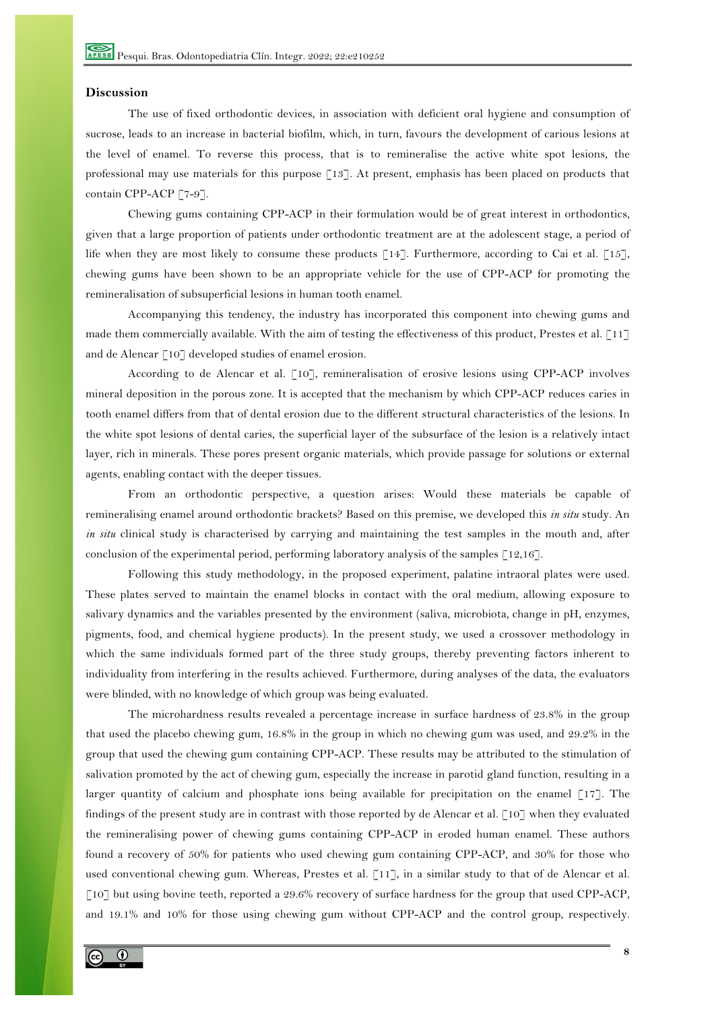## **Discussion**

The use of fixed orthodontic devices, in association with deficient oral hygiene and consumption of sucrose, leads to an increase in bacterial biofilm, which, in turn, favours the development of carious lesions at the level of enamel. To reverse this process, that is to remineralise the active white spot lesions, the professional may use materials for this purpose [13]. At present, emphasis has been placed on products that contain CPP-ACP [7-9].

Chewing gums containing CPP-ACP in their formulation would be of great interest in orthodontics, given that a large proportion of patients under orthodontic treatment are at the adolescent stage, a period of life when they are most likely to consume these products [14]. Furthermore, according to Cai et al. [15], chewing gums have been shown to be an appropriate vehicle for the use of CPP-ACP for promoting the remineralisation of subsuperficial lesions in human tooth enamel.

Accompanying this tendency, the industry has incorporated this component into chewing gums and made them commercially available. With the aim of testing the effectiveness of this product, Prestes et al. [11] and de Alencar [10] developed studies of enamel erosion.

According to de Alencar et al. [10], remineralisation of erosive lesions using CPP-ACP involves mineral deposition in the porous zone. It is accepted that the mechanism by which CPP-ACP reduces caries in tooth enamel differs from that of dental erosion due to the different structural characteristics of the lesions. In the white spot lesions of dental caries, the superficial layer of the subsurface of the lesion is a relatively intact layer, rich in minerals. These pores present organic materials, which provide passage for solutions or external agents, enabling contact with the deeper tissues.

From an orthodontic perspective, a question arises: Would these materials be capable of remineralising enamel around orthodontic brackets? Based on this premise, we developed this *in situ* study. An *in situ* clinical study is characterised by carrying and maintaining the test samples in the mouth and, after conclusion of the experimental period, performing laboratory analysis of the samples [12,16].

Following this study methodology, in the proposed experiment, palatine intraoral plates were used. These plates served to maintain the enamel blocks in contact with the oral medium, allowing exposure to salivary dynamics and the variables presented by the environment (saliva, microbiota, change in pH, enzymes, pigments, food, and chemical hygiene products). In the present study, we used a crossover methodology in which the same individuals formed part of the three study groups, thereby preventing factors inherent to individuality from interfering in the results achieved. Furthermore, during analyses of the data, the evaluators were blinded, with no knowledge of which group was being evaluated.

The microhardness results revealed a percentage increase in surface hardness of 23.8% in the group that used the placebo chewing gum, 16.8% in the group in which no chewing gum was used, and 29.2% in the group that used the chewing gum containing CPP-ACP. These results may be attributed to the stimulation of salivation promoted by the act of chewing gum, especially the increase in parotid gland function, resulting in a larger quantity of calcium and phosphate ions being available for precipitation on the enamel  $\lceil 17 \rceil$ . The findings of the present study are in contrast with those reported by de Alencar et al. [10] when they evaluated the remineralising power of chewing gums containing CPP-ACP in eroded human enamel. These authors found a recovery of 50% for patients who used chewing gum containing CPP-ACP, and 30% for those who used conventional chewing gum. Whereas, Prestes et al. [11], in a similar study to that of de Alencar et al. [10] but using bovine teeth, reported a 29.6% recovery of surface hardness for the group that used CPP-ACP, and 19.1% and 10% for those using chewing gum without CPP-ACP and the control group, respectively.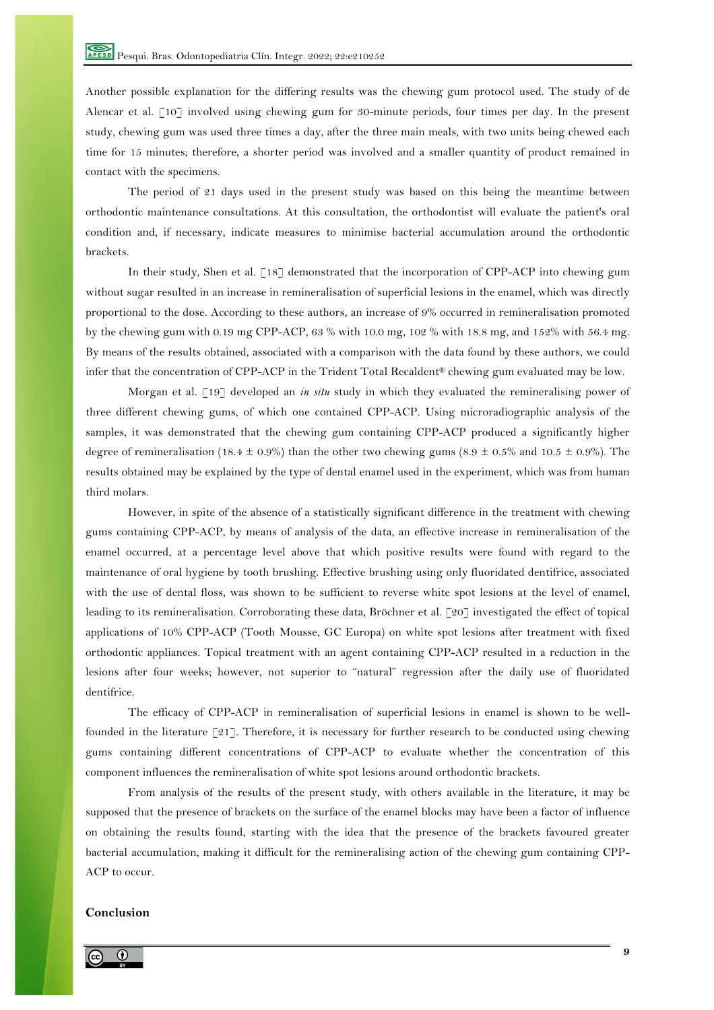Another possible explanation for the differing results was the chewing gum protocol used. The study of de Alencar et al. [10] involved using chewing gum for 30-minute periods, four times per day. In the present study, chewing gum was used three times a day, after the three main meals, with two units being chewed each time for 15 minutes; therefore, a shorter period was involved and a smaller quantity of product remained in contact with the specimens.

The period of 21 days used in the present study was based on this being the meantime between orthodontic maintenance consultations. At this consultation, the orthodontist will evaluate the patient's oral condition and, if necessary, indicate measures to minimise bacterial accumulation around the orthodontic brackets.

In their study, Shen et al. [18] demonstrated that the incorporation of CPP-ACP into chewing gum without sugar resulted in an increase in remineralisation of superficial lesions in the enamel, which was directly proportional to the dose. According to these authors, an increase of 9% occurred in remineralisation promoted by the chewing gum with 0.19 mg CPP-ACP, 63 % with 10.0 mg, 102 % with 18.8 mg, and 152% with 56.4 mg. By means of the results obtained, associated with a comparison with the data found by these authors, we could infer that the concentration of CPP-ACP in the Trident Total Recaldent® chewing gum evaluated may be low.

Morgan et al. [19] developed an *in situ* study in which they evaluated the remineralising power of three different chewing gums, of which one contained CPP-ACP. Using microradiographic analysis of the samples, it was demonstrated that the chewing gum containing CPP-ACP produced a significantly higher degree of remineralisation (18.4  $\pm$  0.9%) than the other two chewing gums (8.9  $\pm$  0.5% and 10.5  $\pm$  0.9%). The results obtained may be explained by the type of dental enamel used in the experiment, which was from human third molars.

However, in spite of the absence of a statistically significant difference in the treatment with chewing gums containing CPP-ACP, by means of analysis of the data, an effective increase in remineralisation of the enamel occurred, at a percentage level above that which positive results were found with regard to the maintenance of oral hygiene by tooth brushing. Effective brushing using only fluoridated dentifrice, associated with the use of dental floss, was shown to be sufficient to reverse white spot lesions at the level of enamel, leading to its remineralisation. Corroborating these data, Bröchner et al. [20] investigated the effect of topical applications of 10% CPP-ACP (Tooth Mousse, GC Europa) on white spot lesions after treatment with fixed orthodontic appliances. Topical treatment with an agent containing CPP-ACP resulted in a reduction in the lesions after four weeks; however, not superior to "natural" regression after the daily use of fluoridated dentifrice.

The efficacy of CPP-ACP in remineralisation of superficial lesions in enamel is shown to be wellfounded in the literature [21]. Therefore, it is necessary for further research to be conducted using chewing gums containing different concentrations of CPP-ACP to evaluate whether the concentration of this component influences the remineralisation of white spot lesions around orthodontic brackets.

From analysis of the results of the present study, with others available in the literature, it may be supposed that the presence of brackets on the surface of the enamel blocks may have been a factor of influence on obtaining the results found, starting with the idea that the presence of the brackets favoured greater bacterial accumulation, making it difficult for the remineralising action of the chewing gum containing CPP-ACP to occur.

# **Conclusion**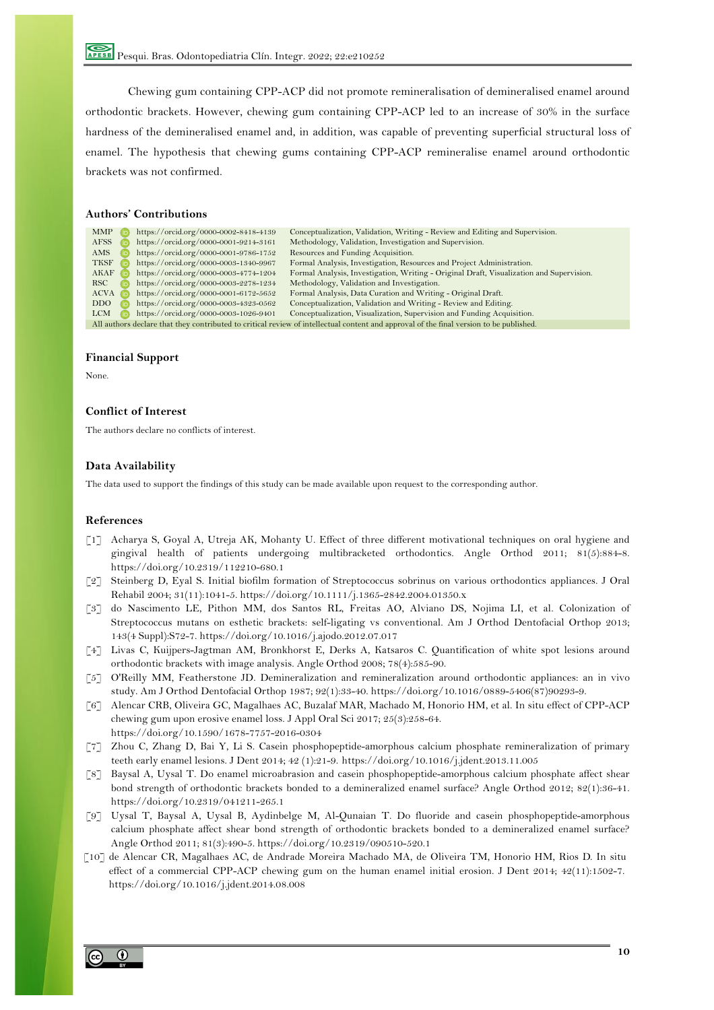Chewing gum containing CPP-ACP did not promote remineralisation of demineralised enamel around orthodontic brackets. However, chewing gum containing CPP-ACP led to an increase of 30% in the surface hardness of the demineralised enamel and, in addition, was capable of preventing superficial structural loss of enamel. The hypothesis that chewing gums containing CPP-ACP remineralise enamel around orthodontic brackets was not confirmed.

## **Authors' Contributions**

| <b>MMP</b>                                                                                                                              | https://orcid.org/0000-0002-8418-4139 | Conceptualization, Validation, Writing - Review and Editing and Supervision.             |  |  |
|-----------------------------------------------------------------------------------------------------------------------------------------|---------------------------------------|------------------------------------------------------------------------------------------|--|--|
| <b>AFSS</b>                                                                                                                             | https://orcid.org/0000-0001-9214-3161 | Methodology, Validation, Investigation and Supervision.                                  |  |  |
| AMS                                                                                                                                     | https://orcid.org/0000-0001-9786-1752 | Resources and Funding Acquisition.                                                       |  |  |
| <b>TKSF</b><br>l id                                                                                                                     | https://orcid.org/0000-0003-1340-9967 | Formal Analysis, Investigation, Resources and Project Administration.                    |  |  |
| AKAF<br>l idi                                                                                                                           | https://orcid.org/0000-0003-4774-1204 | Formal Analysis, Investigation, Writing - Original Draft, Visualization and Supervision. |  |  |
| RSC -                                                                                                                                   | https://orcid.org/0000-0003-2278-1234 | Methodology, Validation and Investigation.                                               |  |  |
| $ACVA$ ( $\bar{D}$ )                                                                                                                    | https://orcid.org/0000-0001-6172-5652 | Formal Analysis, Data Curation and Writing - Original Draft.                             |  |  |
| DDO.<br>( iD                                                                                                                            | https://orcid.org/0000-0003-4323-0562 | Conceptualization, Validation and Writing - Review and Editing.                          |  |  |
| <b>LCM</b>                                                                                                                              | https://orcid.org/0000-0003-1026-9401 | Conceptualization, Visualization, Supervision and Funding Acquisition.                   |  |  |
| All authors declare that they contributed to critical review of intellectual content and approval of the final version to be published. |                                       |                                                                                          |  |  |

#### **Financial Support**

None.

## **Conflict of Interest**

The authors declare no conflicts of interest.

# **Data Availability**

The data used to support the findings of this study can be made available upon request to the corresponding author.

#### **References**

- [1] Acharya S, Goyal A, Utreja AK, Mohanty U. Effect of three different motivational techniques on oral hygiene and gingival health of patients undergoing multibracketed orthodontics. Angle Orthod 2011; 81(5):884-8. https://doi.org/10.2319/112210-680.1
- [2] Steinberg D, Eyal S. Initial biofilm formation of Streptococcus sobrinus on various orthodontics appliances. J Oral Rehabil 2004; 31(11):1041-5. https://doi.org/10.1111/j.1365-2842.2004.01350.x
- [3] do Nascimento LE, Pithon MM, dos Santos RL, Freitas AO, Alviano DS, Nojima LI, et al. Colonization of Streptococcus mutans on esthetic brackets: self-ligating vs conventional. Am J Orthod Dentofacial Orthop 2013; 143(4 Suppl):S72-7. https://doi.org/10.1016/j.ajodo.2012.07.017
- [4] Livas C, Kuijpers-Jagtman AM, Bronkhorst E, Derks A, Katsaros C. Quantification of white spot lesions around orthodontic brackets with image analysis. Angle Orthod 2008; 78(4):585-90.
- [5] O'Reilly MM, Featherstone JD. Demineralization and remineralization around orthodontic appliances: an in vivo study. Am J Orthod Dentofacial Orthop 1987; 92(1):33-40. https://doi.org/10.1016/0889-5406(87)90293-9.
- [6] Alencar CRB, Oliveira GC, Magalhaes AC, Buzalaf MAR, Machado M, Honorio HM, et al. In situ effect of CPP-ACP chewing gum upon erosive enamel loss. J Appl Oral Sci 2017; 25(3):258-64. https://doi.org/10.1590/1678-7757-2016-0304
- [7] Zhou C, Zhang D, Bai Y, Li S. Casein phosphopeptide-amorphous calcium phosphate remineralization of primary teeth early enamel lesions. J Dent 2014; 42 (1):21-9. https://doi.org/10.1016/j.jdent.2013.11.005
- [8] Baysal A, Uysal T. Do enamel microabrasion and casein phosphopeptide-amorphous calcium phosphate affect shear bond strength of orthodontic brackets bonded to a demineralized enamel surface? Angle Orthod 2012; 82(1):36-41. https://doi.org/10.2319/041211-265.1
- [9] Uysal T, Baysal A, Uysal B, Aydinbelge M, Al-Qunaian T. Do fluoride and casein phosphopeptide-amorphous calcium phosphate affect shear bond strength of orthodontic brackets bonded to a demineralized enamel surface? Angle Orthod 2011; 81(3):490-5. https://doi.org/10.2319/090510-520.1
- [10] de Alencar CR, Magalhaes AC, de Andrade Moreira Machado MA, de Oliveira TM, Honorio HM, Rios D. In situ effect of a commercial CPP-ACP chewing gum on the human enamel initial erosion. J Dent 2014; 42(11):1502-7. https://doi.org/10.1016/j.jdent.2014.08.008